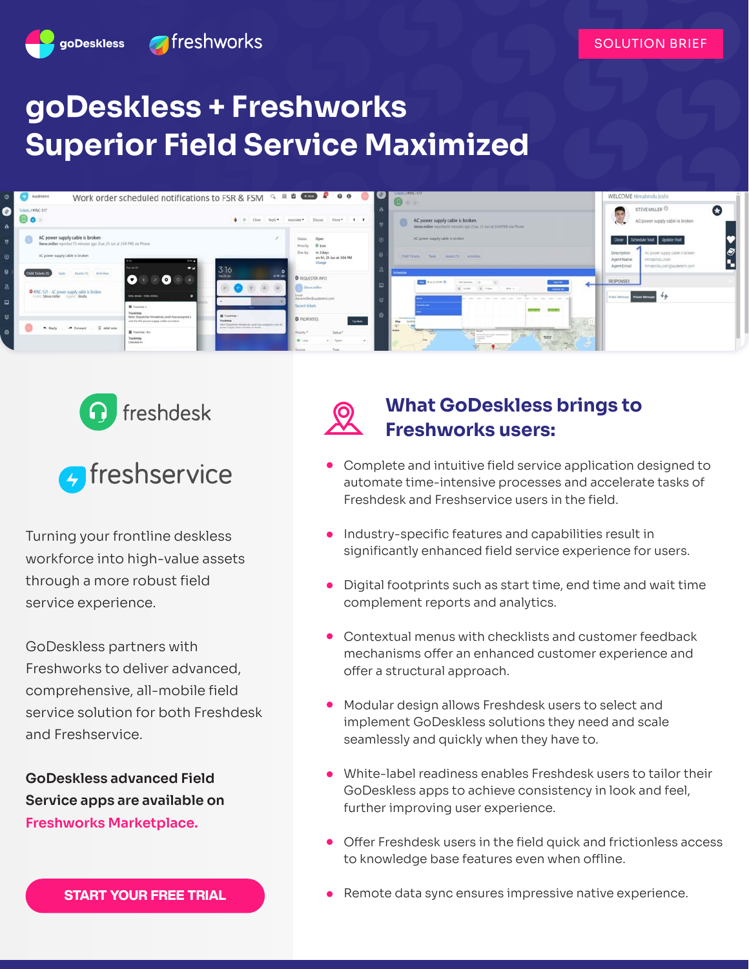

# **goDeskless + Freshworks Superior Field Service Maximized**







Turning your frontline deskless workforce into high-value assets through a more robust field service experience.

GoDeskless partners with Freshworks to deliver advanced, comprehensive, all-mobile field service solution for both Freshdesk and Freshservice.

**GoDeskless advanced Field Service apps are available on [Freshworks Marketplace.](https://www.freshworks.com/apps/freshservice/godeskless_advanced_field_service_for_freshservice/)**

### **What GoDeskless brings to Freshworks users:**

- Complete and intuitive field service application designed to automate time-intensive processes and accelerate tasks of Freshdesk and Freshservice users in the field.
- Industry-specific features and capabilities result in significantly enhanced field service experience for users.
- Digital footprints such as start time, end time and wait time complement reports and analytics.
- Contextual menus with checklists and customer feedback mechanisms offer an enhanced customer experience and offer a structural approach.
- Modular design allows Freshdesk users to select and implement GoDeskless solutions they need and scale seamlessly and quickly when they have to.
- White-label readiness enables Freshdesk users to tailor their GoDeskless apps to achieve consistency in look and feel, further improving user experience.
- $\bullet$ Offer Freshdesk users in the field quick and frictionless access to knowledge base features even when offline.
- Remote data sync ensures impressive native experience.

**[START YOUR FREE TRIAL](https://godeskless.com/trial-page/)**